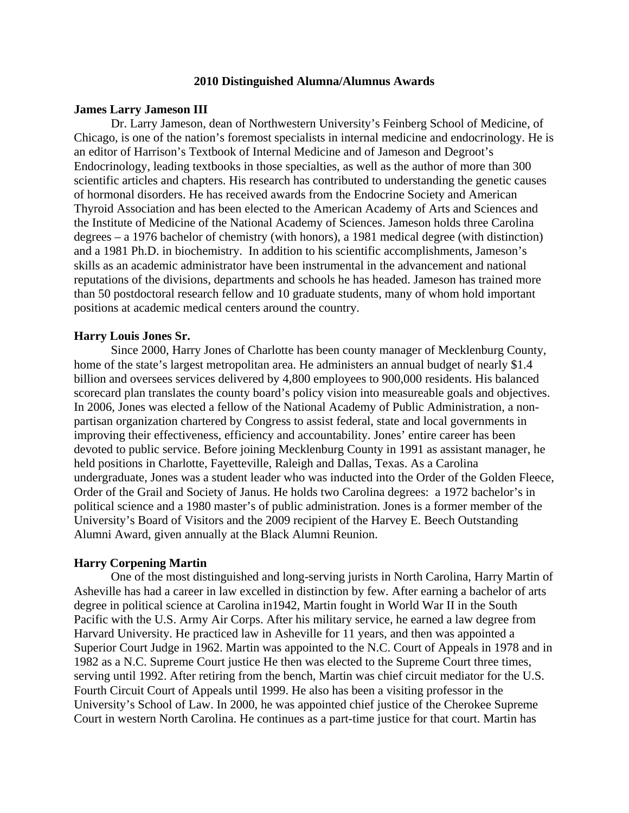## **2010 Distinguished Alumna/Alumnus Awards**

### **James Larry Jameson III**

Dr. Larry Jameson, dean of Northwestern University's Feinberg School of Medicine, of Chicago, is one of the nation's foremost specialists in internal medicine and endocrinology. He is an editor of Harrison's Textbook of Internal Medicine and of Jameson and Degroot's Endocrinology, leading textbooks in those specialties, as well as the author of more than 300 scientific articles and chapters. His research has contributed to understanding the genetic causes of hormonal disorders. He has received awards from the Endocrine Society and American Thyroid Association and has been elected to the American Academy of Arts and Sciences and the Institute of Medicine of the National Academy of Sciences. Jameson holds three Carolina degrees – a 1976 bachelor of chemistry (with honors), a 1981 medical degree (with distinction) and a 1981 Ph.D. in biochemistry. In addition to his scientific accomplishments, Jameson's skills as an academic administrator have been instrumental in the advancement and national reputations of the divisions, departments and schools he has headed. Jameson has trained more than 50 postdoctoral research fellow and 10 graduate students, many of whom hold important positions at academic medical centers around the country.

### **Harry Louis Jones Sr.**

Since 2000, Harry Jones of Charlotte has been county manager of Mecklenburg County, home of the state's largest metropolitan area. He administers an annual budget of nearly \$1.4 billion and oversees services delivered by 4,800 employees to 900,000 residents. His balanced scorecard plan translates the county board's policy vision into measureable goals and objectives. In 2006, Jones was elected a fellow of the National Academy of Public Administration, a nonpartisan organization chartered by Congress to assist federal, state and local governments in improving their effectiveness, efficiency and accountability. Jones' entire career has been devoted to public service. Before joining Mecklenburg County in 1991 as assistant manager, he held positions in Charlotte, Fayetteville, Raleigh and Dallas, Texas. As a Carolina undergraduate, Jones was a student leader who was inducted into the Order of the Golden Fleece, Order of the Grail and Society of Janus. He holds two Carolina degrees: a 1972 bachelor's in political science and a 1980 master's of public administration. Jones is a former member of the University's Board of Visitors and the 2009 recipient of the Harvey E. Beech Outstanding Alumni Award, given annually at the Black Alumni Reunion.

#### **Harry Corpening Martin**

One of the most distinguished and long-serving jurists in North Carolina, Harry Martin of Asheville has had a career in law excelled in distinction by few. After earning a bachelor of arts degree in political science at Carolina in1942, Martin fought in World War II in the South Pacific with the U.S. Army Air Corps. After his military service, he earned a law degree from Harvard University. He practiced law in Asheville for 11 years, and then was appointed a Superior Court Judge in 1962. Martin was appointed to the N.C. Court of Appeals in 1978 and in 1982 as a N.C. Supreme Court justice He then was elected to the Supreme Court three times, serving until 1992. After retiring from the bench, Martin was chief circuit mediator for the U.S. Fourth Circuit Court of Appeals until 1999. He also has been a visiting professor in the University's School of Law. In 2000, he was appointed chief justice of the Cherokee Supreme Court in western North Carolina. He continues as a part-time justice for that court. Martin has